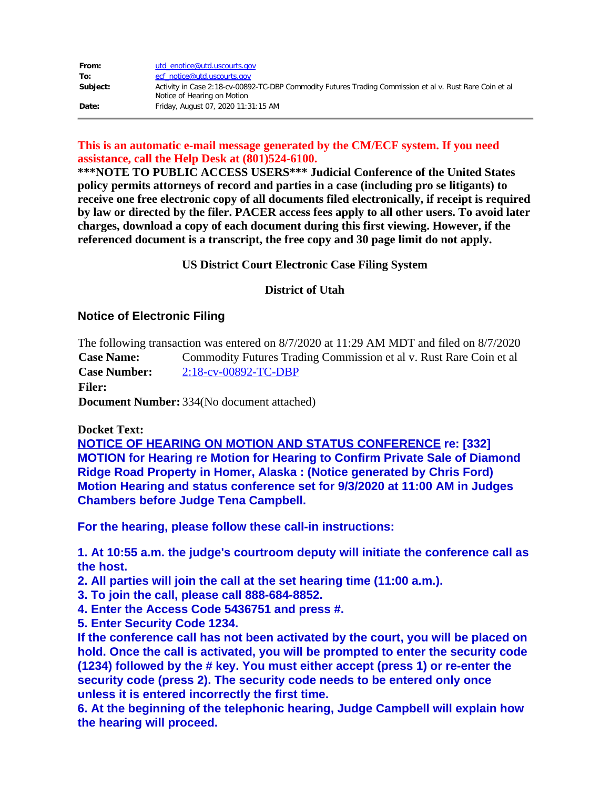| From:    | utd enotice@utd.uscourts.gov                                                                                                            |
|----------|-----------------------------------------------------------------------------------------------------------------------------------------|
| To:      | ecf notice@utd.uscourts.gov                                                                                                             |
| Subject: | Activity in Case 2:18-cv-00892-TC-DBP Commodity Futures Trading Commission et al v. Rust Rare Coin et al<br>Notice of Hearing on Motion |
| Date:    | Friday, August 07, 2020 11:31:15 AM                                                                                                     |

### **This is an automatic e-mail message generated by the CM/ECF system. If you need assistance, call the Help Desk at (801)524-6100.**

**\*\*\*NOTE TO PUBLIC ACCESS USERS\*\*\* Judicial Conference of the United States policy permits attorneys of record and parties in a case (including pro se litigants) to receive one free electronic copy of all documents filed electronically, if receipt is required by law or directed by the filer. PACER access fees apply to all other users. To avoid later charges, download a copy of each document during this first viewing. However, if the referenced document is a transcript, the free copy and 30 page limit do not apply.**

#### **US District Court Electronic Case Filing System**

### **District of Utah**

## **Notice of Electronic Filing**

The following transaction was entered on 8/7/2020 at 11:29 AM MDT and filed on 8/7/2020 **Case Name:** Commodity Futures Trading Commission et al v. Rust Rare Coin et al **Case Number:** [2:18-cv-00892-TC-DBP](https://protect-us.mimecast.com/s/QujyC82xqzFr75ving_2B?domain=ecf.utd.uscourts.gov)

**Filer:**

**Document Number:** 334(No document attached)

#### **Docket Text:**

**NOTICE OF HEARING ON MOTION AND STATUS CONFERENCE re: [332] MOTION for Hearing re Motion for Hearing to Confirm Private Sale of Diamond Ridge Road Property in Homer, Alaska : (Notice generated by Chris Ford) Motion Hearing and status conference set for 9/3/2020 at 11:00 AM in Judges Chambers before Judge Tena Campbell.**

**For the hearing, please follow these call-in instructions:**

**1. At 10:55 a.m. the judge's courtroom deputy will initiate the conference call as the host.** 

**2. All parties will join the call at the set hearing time (11:00 a.m.).**

- **3. To join the call, please call 888-684-8852.**
- **4. Enter the Access Code 5436751 and press #.**
- **5. Enter Security Code 1234.**

**If the conference call has not been activated by the court, you will be placed on hold. Once the call is activated, you will be prompted to enter the security code (1234) followed by the # key. You must either accept (press 1) or re-enter the security code (press 2). The security code needs to be entered only once unless it is entered incorrectly the first time.**

**6. At the beginning of the telephonic hearing, Judge Campbell will explain how the hearing will proceed.**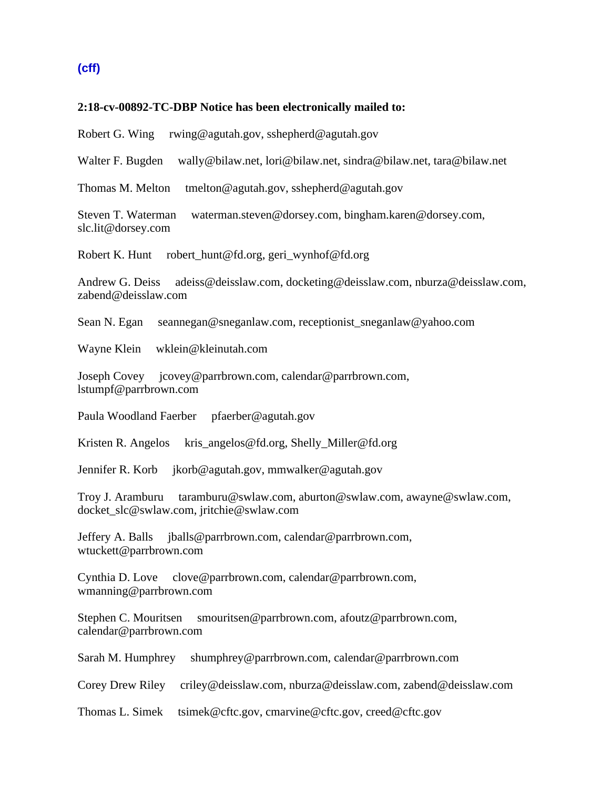# **(cff)**

#### **2:18-cv-00892-TC-DBP Notice has been electronically mailed to:**

Robert G. Wing rwing@agutah.gov, sshepherd@agutah.gov

Walter F. Bugden wally@bilaw.net, lori@bilaw.net, sindra@bilaw.net, tara@bilaw.net

Thomas M. Melton tmelton@agutah.gov, sshepherd@agutah.gov

Steven T. Waterman waterman.steven@dorsey.com, bingham.karen@dorsey.com, slc.lit@dorsey.com

Robert K. Hunt robert\_hunt@fd.org, geri\_wynhof@fd.org

Andrew G. Deiss adeiss@deisslaw.com, docketing@deisslaw.com, nburza@deisslaw.com, zabend@deisslaw.com

Sean N. Egan seannegan@sneganlaw.com, receptionist\_sneganlaw@yahoo.com

Wayne Klein wklein@kleinutah.com

Joseph Covey jcovey@parrbrown.com, calendar@parrbrown.com, lstumpf@parrbrown.com

Paula Woodland Faerber pfaerber@agutah.gov

Kristen R. Angelos kris\_angelos@fd.org, Shelly\_Miller@fd.org

Jennifer R. Korb jkorb@agutah.gov, mmwalker@agutah.gov

Troy J. Aramburu taramburu@swlaw.com, aburton@swlaw.com, awayne@swlaw.com, docket\_slc@swlaw.com, jritchie@swlaw.com

Jeffery A. Balls jballs@parrbrown.com, calendar@parrbrown.com, wtuckett@parrbrown.com

Cynthia D. Love clove@parrbrown.com, calendar@parrbrown.com, wmanning@parrbrown.com

Stephen C. Mouritsen smouritsen@parrbrown.com, afoutz@parrbrown.com, calendar@parrbrown.com

Sarah M. Humphrey shumphrey@parrbrown.com, calendar@parrbrown.com

Corey Drew Riley criley@deisslaw.com, nburza@deisslaw.com, zabend@deisslaw.com

Thomas L. Simek tsimek@cftc.gov, cmarvine@cftc.gov, creed@cftc.gov